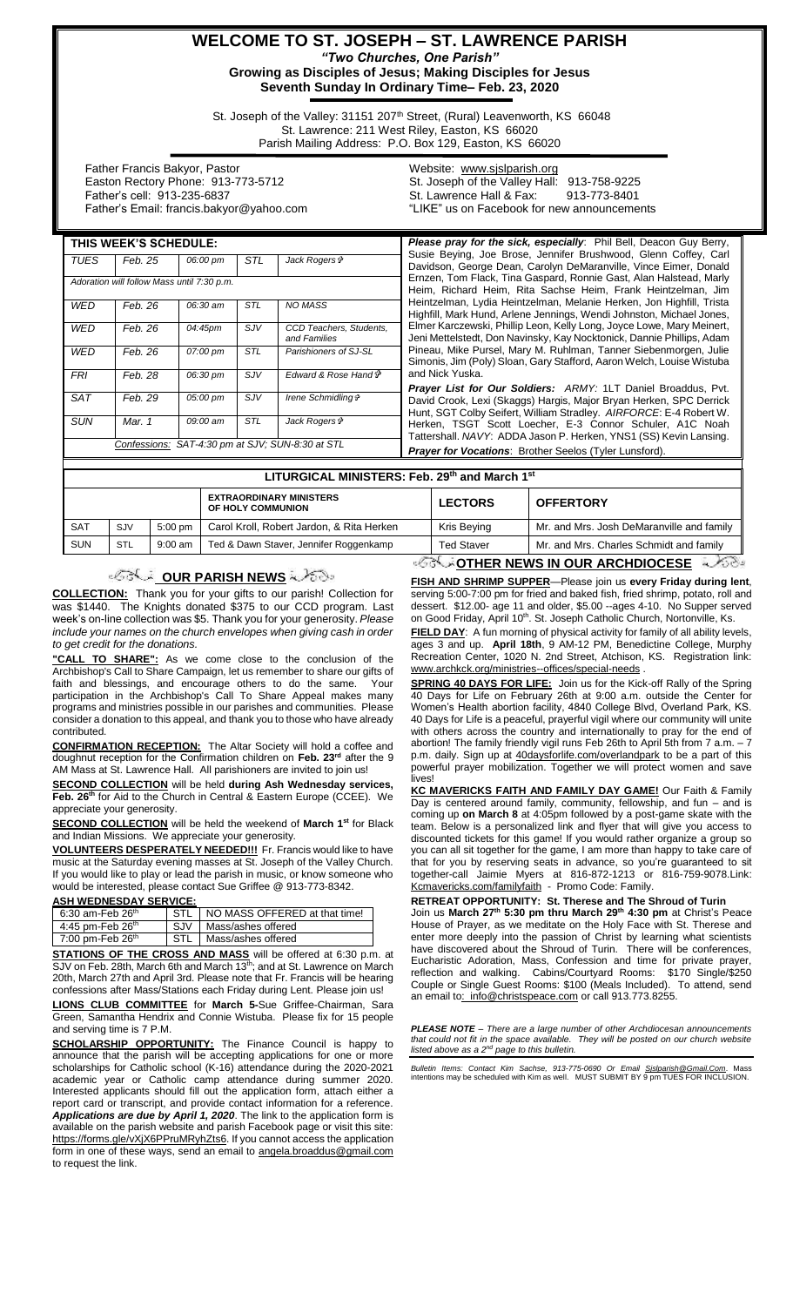## **WELCOME TO ST. JOSEPH – ST. LAWRENCE PARISH** *"Two Churches, One Parish"* **Growing as Disciples of Jesus; Making Disciples for Jesus**

**Seventh Sunday In Ordinary Time– Feb. 23, 2020**

St. Joseph of the Valley: 31151 207<sup>th</sup> Street, (Rural) Leavenworth, KS 66048 St. Lawrence: 211 West Riley, Easton, KS 66020 Parish Mailing Address: P.O. Box 129, Easton, KS 66020

 Father Francis Bakyor, Pastor Easton Rectory Phone: 913-773-5712 Father's cell: 913-235-6837 Father's Email: francis.bakyor@yahoo.com

#### Website: [www.sjslparish.org](http://www.sjslparish.org/) St. Joseph of the Valley Hall: 913-758-9225 St. Lawrence Hall & Fax: "LIKE" us on Facebook for new announcements

| THIS WEEK'S SCHEDULE: |                                                       |          |            |                                                  | Please pray for the sick, especially: Phil Bell, Deacon Guy Berry,                                                                             |  |  |
|-----------------------|-------------------------------------------------------|----------|------------|--------------------------------------------------|------------------------------------------------------------------------------------------------------------------------------------------------|--|--|
| TUES                  | Feb. 25                                               | 06:00 pm | <b>STL</b> | Jack Rogers &                                    | Susie Beying, Joe Brose, Jennifer Brushwood, Glenn Coffey, Carl<br>Davidson, George Dean, Carolyn DeMaranville, Vince Eimer, Donald            |  |  |
|                       | Adoration will follow Mass until 7:30 p.m.            |          |            |                                                  | Ernzen, Tom Flack, Tina Gaspard, Ronnie Gast, Alan Halstead, Marly<br>Heim, Richard Heim, Rita Sachse Heim, Frank Heintzelman, Jim             |  |  |
| <b>WED</b>            | Feb. 26                                               | 06:30 am | <b>STL</b> | <b>NO MASS</b>                                   | Heintzelman, Lydia Heintzelman, Melanie Herken, Jon Highfill, Trista<br>Highfill, Mark Hund, Arlene Jennings, Wendi Johnston, Michael Jones,   |  |  |
| <b>WED</b>            | Feb. 26                                               | 04:45pm  | <b>SJV</b> | CCD Teachers, Students,<br>and Families          | Elmer Karczewski, Phillip Leon, Kelly Long, Joyce Lowe, Mary Meinert,<br>Jeni Mettelstedt, Don Navinsky, Kay Nocktonick, Dannie Phillips, Adam |  |  |
| WED                   | Feb. 26                                               | 07:00 pm | <b>STL</b> | Parishioners of SJ-SL                            | Pineau, Mike Pursel, Mary M. Ruhlman, Tanner Siebenmorgen, Julie<br>Simonis, Jim (Poly) Sloan, Gary Stafford, Aaron Welch, Louise Wistuba      |  |  |
| <b>FRI</b>            | Feb. 28                                               | 06:30 pm | <b>SJV</b> | Edward & Rose Hand $\vec{r}$                     | and Nick Yuska.<br>Prayer List for Our Soldiers: ARMY: 1LT Daniel Broaddus, Pvt.                                                               |  |  |
| <b>SAT</b>            | Feb. 29                                               | 05:00 pm | <b>SJV</b> | Irene Schmidling &                               | David Crook, Lexi (Skaggs) Hargis, Major Bryan Herken, SPC Derrick<br>Hunt, SGT Colby Seifert, William Stradley. AIRFORCE: E-4 Robert W.       |  |  |
| <b>SUN</b>            | Mar. 1                                                | 09:00 am | <b>STL</b> | Jack Rogers &                                    | Herken, TSGT Scott Loecher, E-3 Connor Schuler, A1C Noah<br>Tattershall. NAVY: ADDA Jason P. Herken, YNS1 (SS) Kevin Lansing.                  |  |  |
|                       |                                                       |          |            | Confessions: SAT-4:30 pm at SJV; SUN-8:30 at STL | <b>Prayer for Vocations:</b> Brother Seelos (Tyler Lunsford).                                                                                  |  |  |
|                       |                                                       |          |            |                                                  |                                                                                                                                                |  |  |
|                       | <b>LITUDGICAL MINIGTEDS. Eah. 20th and Marah 4st.</b> |          |            |                                                  |                                                                                                                                                |  |  |

|            | LITURGICAL MINISTERS: Feb. 29" and March 1° |                   |                                                     |                   |                                           |  |  |  |  |
|------------|---------------------------------------------|-------------------|-----------------------------------------------------|-------------------|-------------------------------------------|--|--|--|--|
|            |                                             |                   | <b>EXTRAORDINARY MINISTERS</b><br>OF HOLY COMMUNION | <b>LECTORS</b>    | <b>OFFERTORY</b>                          |  |  |  |  |
| <b>SAT</b> | SJV                                         | $5:00 \text{ pm}$ | Carol Kroll, Robert Jardon, & Rita Herken           | Kris Beying       | Mr. and Mrs. Josh DeMaranville and family |  |  |  |  |
| <b>SUN</b> | <b>STL</b>                                  | $9:00$ am         | Ted & Dawn Staver, Jennifer Roggenkamp              | <b>Ted Staver</b> | Mr. and Mrs. Charles Schmidt and family   |  |  |  |  |
|            |                                             |                   |                                                     |                   | <b>ATUED NEWS IN AUD ADOUDIAAEAE</b>      |  |  |  |  |

# *OUR PARISH NEWS*

**COLLECTION:** Thank you for your gifts to our parish! Collection for was \$1440. The Knights donated \$375 to our CCD program. Last week's on-line collection was \$5. Thank you for your generosity. *Please include your names on the church envelopes when giving cash in order to get credit for the donations.*

**"CALL TO SHARE":** As we come close to the conclusion of the Archbishop's Call to Share Campaign, let us remember to share our gifts of faith and blessings, and encourage others to do the same. participation in the Archbishop's Call To Share Appeal makes many programs and ministries possible in our parishes and communities. Please consider a donation to this appeal, and thank you to those who have already contributed.

**CONFIRMATION RECEPTION:** The Altar Society will hold a coffee and doughnut reception for the Confirmation children on **Feb. 23rd** after the 9 AM Mass at St. Lawrence Hall. All parishioners are invited to join us!

**SECOND COLLECTION** will be held **during Ash Wednesday services, Feb. 26th** for Aid to the Church in Central & Eastern Europe (CCEE). We appreciate your generosity.

**SECOND COLLECTION** will be held the weekend of **March 1st** for Black and Indian Missions. We appreciate your generosity.

**VOLUNTEERS DESPERATELY NEEDED!!!** Fr. Francis would like to have music at the Saturday evening masses at St. Joseph of the Valley Church. If you would like to play or lead the parish in music, or know someone who would be interested, please contact Sue Griffee @ 913-773-8342.

#### **ASH WEDNESDAY SERVICE:**

| 6:30 am-Feb 26 <sup>th</sup><br>STI I |  | NO MASS OFFERED at that time! |  |
|---------------------------------------|--|-------------------------------|--|
| 4:45 pm-Feb $26th$                    |  | SJV   Mass/ashes offered      |  |
| 7:00 pm-Feb $26th$                    |  | STL   Mass/ashes offered      |  |

**STATIONS OF THE CROSS AND MASS** will be offered at 6:30 p.m. at SJV on Feb. 28th, March 6th and March 13<sup>th</sup>; and at St. Lawrence on March 20th, March 27th and April 3rd. Please note that Fr. Francis will be hearing confessions after Mass/Stations each Friday during Lent. Please join us!

**LIONS CLUB COMMITTEE** for **March 5-**Sue Griffee-Chairman, Sara Green, Samantha Hendrix and Connie Wistuba. Please fix for 15 people and serving time is 7 P.M.

**SCHOLARSHIP OPPORTUNITY:** The Finance Council is happy to announce that the parish will be accepting applications for one or more scholarships for Catholic school (K-16) attendance during the 2020-2021 academic year or Catholic camp attendance during summer 2020. Interested applicants should fill out the application form, attach either a report card or transcript, and provide contact information for a reference. *Applications are due by April 1, 2020*. The link to the application form is available on the parish website and parish Facebook page or visit this site: [https://forms.gle/vXjX6PPruMRyhZts6.](https://forms.gle/vXjX6PPruMRyhZts6) If you cannot access the application form in one of these ways, send an email to angela.broaddus@gmail.com to request the link.

**OTHER NEWS IN OUR ARCHDIOCESE FISH AND SHRIMP SUPPER**—Please join us **every Friday during lent**,

serving 5:00-7:00 pm for fried and baked fish, fried shrimp, potato, roll and dessert. \$12.00- age 11 and older, \$5.00 --ages 4-10. No Supper served on Good Friday, April 10<sup>th</sup>. St. Joseph Catholic Church, Nortonville, Ks. **FIELD DAY**: A fun morning of physical activity for family of all ability levels,

ages 3 and up. **April 18th**, 9 AM-12 PM, Benedictine College, Murphy Recreation Center, 1020 N. 2nd Street, Atchison, KS. Registration link: www.archkck.org/ministries--offices/special-needs .

**SPRING 40 DAYS FOR LIFE:** Join us for the Kick-off Rally of the Spring 40 Days for Life on February 26th at 9:00 a.m. outside the Center for Women's Health abortion facility, 4840 College Blvd, Overland Park, KS. 40 Days for Life is a peaceful, prayerful vigil where our community will unite with others across the country and internationally to pray for the end of abortion! The family friendly vigil runs Feb 26th to April 5th from 7 a.m. – 7 p.m. daily. Sign up at 40daysforlife.com/overlandpark to be a part of this powerful prayer mobilization. Together we will protect women and save lives!

**KC MAVERICKS FAITH AND FAMILY DAY GAME!** Our Faith & Family Day is centered around family, community, fellowship, and fun – and is coming up **on March 8** at 4:05pm followed by a post-game skate with the team. Below is a personalized link and flyer that will give you access to discounted tickets for this game! If you would rather organize a group so you can all sit together for the game, I am more than happy to take care of that for you by reserving seats in advance, so you're guaranteed to sit together-call Jaimie Myers at 816-872-1213 or 816-759-9078.Link: Kcmavericks.com/familyfaith - Promo Code: Family.

**RETREAT OPPORTUNITY: St. Therese and The Shroud of Turin**

Join us **March 27th 5:30 pm thru March 29th 4:30 pm** at Christ's Peace House of Prayer, as we meditate on the Holy Face with St. Therese and enter more deeply into the passion of Christ by learning what scientists have discovered about the Shroud of Turin. There will be conferences, Eucharistic Adoration, Mass, Confession and time for private prayer, reflection and walking. Cabins/Courtyard Rooms: \$170 Single/\$250 Couple or Single Guest Rooms: \$100 (Meals Included). To attend, send an email to: info@christspeace.com or call 913.773.8255.

*PLEASE NOTE – There are a large number of other Archdiocesan announcements that could not fit in the space available. They will be posted on our church website listed above as a 2nd page to this bulletin.*

*Bulletin Items: Contact Kim Sachse, 913-775-0690 Or Email <u>Sislparish@Gmail.Com</u>. Mass<br>intentions may be scheduled with Kim as well. MUST SUBMIT BY 9 pm TUES FOR INCLUSION.*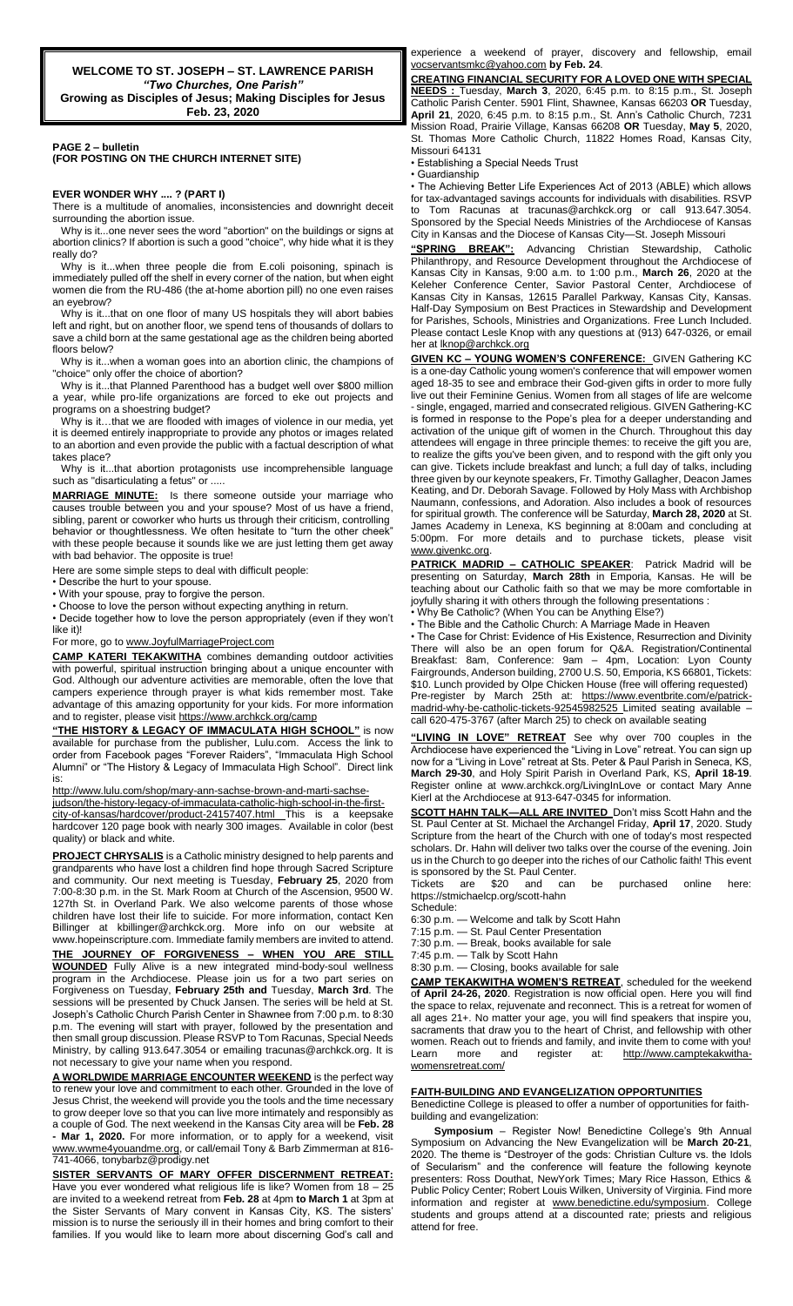**WELCOME TO ST. JOSEPH – ST. LAWRENCE PARISH**

*"Two Churches, One Parish"* **Growing as Disciples of Jesus; Making Disciples for Jesus Feb. 23, 2020**

**PAGE 2 – bulletin (FOR POSTING ON THE CHURCH INTERNET SITE)**

## **EVER WONDER WHY .... ? (PART I)**

There is a multitude of anomalies, inconsistencies and downright deceit surrounding the abortion issue.

Why is it...one never sees the word "abortion" on the buildings or signs at abortion clinics? If abortion is such a good "choice", why hide what it is they really do?

Why is it...when three people die from E.coli poisoning, spinach is immediately pulled off the shelf in every corner of the nation, but when eight women die from the RU-486 (the at-home abortion pill) no one even raises an eyebrow?

 Why is it...that on one floor of many US hospitals they will abort babies left and right, but on another floor, we spend tens of thousands of dollars to save a child born at the same gestational age as the children being aborted floors below?

 Why is it...when a woman goes into an abortion clinic, the champions of "choice" only offer the choice of abortion?

 Why is it...that Planned Parenthood has a budget well over \$800 million a year, while pro-life organizations are forced to eke out projects and programs on a shoestring budget?

 Why is it…that we are flooded with images of violence in our media, yet it is deemed entirely inappropriate to provide any photos or images related to an abortion and even provide the public with a factual description of what takes place?

 Why is it...that abortion protagonists use incomprehensible language such as "disarticulating a fetus" or .....

**MARRIAGE MINUTE:** Is there someone outside your marriage who causes trouble between you and your spouse? Most of us have a friend, sibling, parent or coworker who hurts us through their criticism, controlling behavior or thoughtlessness. We often hesitate to "turn the other cheek" with these people because it sounds like we are just letting them get away with bad behavior. The opposite is true!

Here are some simple steps to deal with difficult people:

• Describe the hurt to your spouse.

• With your spouse, pray to forgive the person.

• Choose to love the person without expecting anything in return.

• Decide together how to love the person appropriately (even if they won't like it)!

For more, go t[o www.JoyfulMarriageProject.com](http://www.joyfulmarriageproject.com/)

**CAMP KATERI TEKAKWITHA** combines demanding outdoor activities with powerful, spiritual instruction bringing about a unique encounter with God. Although our adventure activities are memorable, often the love that campers experience through prayer is what kids remember most. Take advantage of this amazing opportunity for your kids. For more information and to register, please visit https://www.archkck.org/camp

**"THE HISTORY & LEGACY OF IMMACULATA HIGH SCHOOL"** is now available for purchase from the publisher, Lulu.com. Access the link to order from Facebook pages "Forever Raiders", "Immaculata High School Alumni" or "The History & Legacy of Immaculata High School". Direct link is:

[http://www.lulu.com/shop/mary-ann-sachse-brown-and-marti-sachse-](http://www.lulu.com/shop/mary-ann-sachse-brown-and-marti-sachse-judson/the-history-legacy-of-immaculata-catholic-high-school-in-the-first-city-of-kansas/hardcover/product-24157407.html)

[judson/the-history-legacy-of-immaculata-catholic-high-school-in-the-first](http://www.lulu.com/shop/mary-ann-sachse-brown-and-marti-sachse-judson/the-history-legacy-of-immaculata-catholic-high-school-in-the-first-city-of-kansas/hardcover/product-24157407.html)[city-of-kansas/hardcover/product-24157407.html](http://www.lulu.com/shop/mary-ann-sachse-brown-and-marti-sachse-judson/the-history-legacy-of-immaculata-catholic-high-school-in-the-first-city-of-kansas/hardcover/product-24157407.html) This is a keepsake hardcover 120 page book with nearly 300 images. Available in color (best quality) or black and white.

**PROJECT CHRYSALIS** is a Catholic ministry designed to help parents and grandparents who have lost a children find hope through Sacred Scripture and community. Our next meeting is Tuesday, **February 25**, 2020 from 7:00-8:30 p.m. in the St. Mark Room at Church of the Ascension, 9500 W. 127th St. in Overland Park. We also welcome parents of those whose children have lost their life to suicide. For more information, contact Ken Billinger at kbillinger@archkck.org. More info on our website at www.hopeinscripture.com. Immediate family members are invited to attend. **THE JOURNEY OF FORGIVENESS – WHEN YOU ARE STILL WOUNDED** Fully Alive is a new integrated mind-body-soul wellness program in the Archdiocese. Please join us for a two part series on Forgiveness on Tuesday, **February 25th and** Tuesday, **March 3rd**. The sessions will be presented by Chuck Jansen. The series will be held at St. Joseph's Catholic Church Parish Center in Shawnee from 7:00 p.m. to 8:30 p.m. The evening will start with prayer, followed by the presentation and then small group discussion. Please RSVP to Tom Racunas, Special Needs Ministry, by calling 913.647.3054 or emailing tracunas@archkck.org. It is not necessary to give your name when you respond.

**A WORLDWIDE MARRIAGE ENCOUNTER WEEKEND** is the perfect way to renew your love and commitment to each other. Grounded in the love of Jesus Christ, the weekend will provide you the tools and the time necessary to grow deeper love so that you can live more intimately and responsibly as a couple of God. The next weekend in the Kansas City area will be **Feb. 28 - Mar 1, 2020.** For more information, or to apply for a weekend, visit www.wwme4youandme.org, or call/email Tony & Barb Zimmerman at 816- 741-4066, tonybarbz@prodigy.net

**SISTER SERVANTS OF MARY OFFER DISCERNMENT RETREAT:**  Have you ever wondered what religious life is like? Women from 18 - 25 are invited to a weekend retreat from **Feb. 28** at 4pm **to March 1** at 3pm at the Sister Servants of Mary convent in Kansas City, KS. The sisters' mission is to nurse the seriously ill in their homes and bring comfort to their families. If you would like to learn more about discerning God's call and

experience a weekend of prayer, discovery and fellowship, email vocservantsmkc@yahoo.com **by Feb. 24**.

**CREATING FINANCIAL SECURITY FOR A LOVED ONE WITH SPECIAL NEEDS :** Tuesday, **March 3**, 2020, 6:45 p.m. to 8:15 p.m., St. Joseph Catholic Parish Center. 5901 Flint, Shawnee, Kansas 66203 **OR** Tuesday, **April 21**, 2020, 6:45 p.m. to 8:15 p.m., St. Ann's Catholic Church, 7231 Mission Road, Prairie Village, Kansas 66208 **OR** Tuesday, **May 5**, 2020, St. Thomas More Catholic Church, 11822 Homes Road, Kansas City, Missouri 64131

• Establishing a Special Needs Trust

• Guardianship

• The Achieving Better Life Experiences Act of 2013 (ABLE) which allows for tax-advantaged savings accounts for individuals with disabilities. RSVP to Tom Racunas at tracunas@archkck.org or call 913.647.3054. Sponsored by the Special Needs Ministries of the Archdiocese of Kansas City in Kansas and the Diocese of Kansas City—St. Joseph Missouri

**"SPRING BREAK":** Advancing Christian Stewardship, Catholic Philanthropy, and Resource Development throughout the Archdiocese of Kansas City in Kansas, 9:00 a.m. to 1:00 p.m., **March 26**, 2020 at the Keleher Conference Center, Savior Pastoral Center, Archdiocese of Kansas City in Kansas, 12615 Parallel Parkway, Kansas City, Kansas. Half-Day Symposium on Best Practices in Stewardship and Development for Parishes, Schools, Ministries and Organizations. Free Lunch Included. Please contact Lesle Knop with any questions at (913) 647-0326, or email her at lknop@archkck.org

**GIVEN KC – YOUNG WOMEN'S CONFERENCE:** GIVEN Gathering KC is a one-day Catholic young women's conference that will empower women aged 18-35 to see and embrace their God-given gifts in order to more fully live out their Feminine Genius. Women from all stages of life are welcome - single, engaged, married and consecrated religious. GIVEN Gathering-KC is formed in response to the Pope's plea for a deeper understanding and activation of the unique gift of women in the Church. Throughout this day attendees will engage in three principle themes: to receive the gift you are, to realize the gifts you've been given, and to respond with the gift only you can give. Tickets include breakfast and lunch; a full day of talks, including three given by our keynote speakers, Fr. Timothy Gallagher, Deacon James Keating, and Dr. Deborah Savage. Followed by Holy Mass with Archbishop Naumann, confessions, and Adoration. Also includes a book of resources for spiritual growth. The conference will be Saturday, **March 28, 2020** at St. James Academy in Lenexa, KS beginning at 8:00am and concluding at 5:00pm. For more details and to purchase tickets, please visit [www.givenkc.org.](http://www.givenkc.org/)

**PATRICK MADRID – CATHOLIC SPEAKER**: Patrick Madrid will be presenting on Saturday, **March 28th** in Emporia, Kansas. He will be teaching about our Catholic faith so that we may be more comfortable in joyfully sharing it with others through the following presentations : • Why Be Catholic? (When You can be Anything Else?)

• The Bible and the Catholic Church: A Marriage Made in Heaven

• The Case for Christ: Evidence of His Existence, Resurrection and Divinity There will also be an open forum for Q&A. Registration/Continental Breakfast: 8am, Conference: 9am – 4pm, Location: Lyon County Fairgrounds, Anderson building, 2700 U.S. 50, Emporia, KS 66801, Tickets: \$10. Lunch provided by Olpe Chicken House (free will offering requested) Pre-register by March 25th at: [https://www.eventbrite.com/e/patrick](https://www.eventbrite.com/e/patrick-madrid-why-be-catholic-tickets-92545982525)[madrid-why-be-catholic-tickets-92545982525](https://www.eventbrite.com/e/patrick-madrid-why-be-catholic-tickets-92545982525) Limited seating available call 620-475-3767 (after March 25) to check on available seating

**"LIVING IN LOVE" RETREAT** See why over 700 couples in the Archdiocese have experienced the "Living in Love" retreat. You can sign up now for a "Living in Love" retreat at Sts. Peter & Paul Parish in Seneca, KS, **March 29-30**, and Holy Spirit Parish in Overland Park, KS, **April 18-19**. Register online at www.archkck.org/LivingInLove or contact Mary Anne Kierl at the Archdiocese at 913-647-0345 for information.

**SCOTT HAHN TALK—ALL ARE INVITED** Don't miss Scott Hahn and the St. Paul Center at St. Michael the Archangel Friday, **April 17**, 2020. Study Scripture from the heart of the Church with one of today's most respected scholars. Dr. Hahn will deliver two talks over the course of the evening. Join us in the Church to go deeper into the riches of our Catholic faith! This event is sponsored by the St. Paul Center.

Tickets are \$20 and can be purchased online here: https://stmichaelcp.org/scott-hahn

Schedule:

6:30 p.m. — Welcome and talk by Scott Hahn

7:15 p.m. — St. Paul Center Presentation 7:30 p.m. — Break, books available for sale

7:45 p.m. — Talk by Scott Hahn

8:30 p.m. — Closing, books available for sale

**CAMP TEKAKWITHA WOMEN'S RETREAT**, scheduled for the weekend o**f April 24-26, 2020**. Registration is now official open. Here you will find the space to relax, rejuvenate and reconnect. This is a retreat for women of all ages 21+. No matter your age, you will find speakers that inspire you, sacraments that draw you to the heart of Christ, and fellowship with other women. Reach out to friends and family, and invite them to come with you!<br>Learn more and register at: http://www.camptekakwitha[http://www.camptekakwitha](http://www.camptekakwitha-womensretreat.com/)[womensretreat.com/](http://www.camptekakwitha-womensretreat.com/)

## **FAITH-BUILDING AND EVANGELIZATION OPPORTUNITIES**

Benedictine College is pleased to offer a number of opportunities for faithbuilding and evangelization:

**Symposium** – Register Now! Benedictine College's 9th Annual Symposium on Advancing the New Evangelization will be **March 20-21**, 2020. The theme is "Destroyer of the gods: Christian Culture vs. the Idols of Secularism" and the conference will feature the following keynote presenters: Ross Douthat, NewYork Times; Mary Rice Hasson, Ethics & Public Policy Center; Robert Louis Wilken, University of Virginia. Find more information and register at www.benedictine.edu/symposium. College students and groups attend at a discounted rate; priests and religious attend for free.